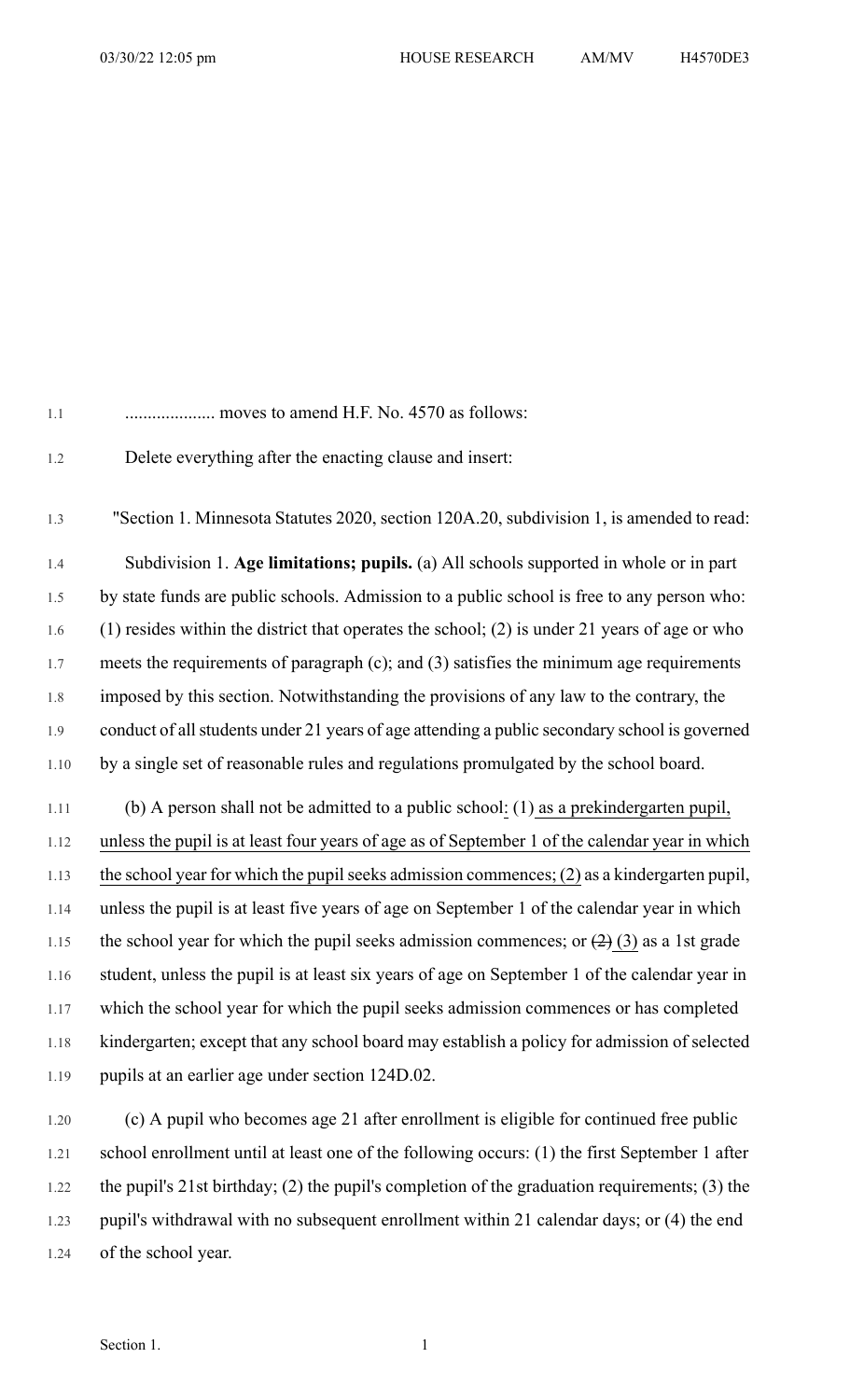| 1.1     | moves to amend H.F. No. 4570 as follows:                                                          |
|---------|---------------------------------------------------------------------------------------------------|
| 1.2     | Delete everything after the enacting clause and insert:                                           |
| 1.3     | "Section 1. Minnesota Statutes 2020, section 120A.20, subdivision 1, is amended to read:          |
| 1.4     | Subdivision 1. Age limitations; pupils. (a) All schools supported in whole or in part             |
| 1.5     | by state funds are public schools. Admission to a public school is free to any person who:        |
| $1.6\,$ | $(1)$ resides within the district that operates the school; $(2)$ is under 21 years of age or who |
| $1.7\,$ | meets the requirements of paragraph $(c)$ ; and $(3)$ satisfies the minimum age requirements      |
| $1.8\,$ | imposed by this section. Notwithstanding the provisions of any law to the contrary, the           |
| $1.9\,$ | conduct of all students under 21 years of age attending a public secondary school is governed     |
| 1.10    | by a single set of reasonable rules and regulations promulgated by the school board.              |
| 1.11    | (b) A person shall not be admitted to a public school: (1) as a prekindergarten pupil,            |
| 1.12    | unless the pupil is at least four years of age as of September 1 of the calendar year in which    |
| 1.13    | the school year for which the pupil seeks admission commences; $(2)$ as a kindergarten pupil,     |
| 1.14    | unless the pupil is at least five years of age on September 1 of the calendar year in which       |
| 1.15    | the school year for which the pupil seeks admission commences; or $(2)$ (3) as a 1st grade        |

1.16 student, unless the pupil is at least six years of age on September 1 of the calendar year in 1.17 which the school year for which the pupil seeks admission commences or has completed 1.18 kindergarten; except that any school board may establish a policy for admission of selected 1.19 pupils at an earlier age under section 124D.02.

1.20 (c) A pupil who becomes age 21 after enrollment is eligible for continued free public 1.21 school enrollment until at least one of the following occurs: (1) the first September 1 after 1.22 the pupil's 21st birthday; (2) the pupil's completion of the graduation requirements; (3) the 1.23 pupil's withdrawal with no subsequent enrollment within 21 calendar days; or (4) the end 1.24 of the school year.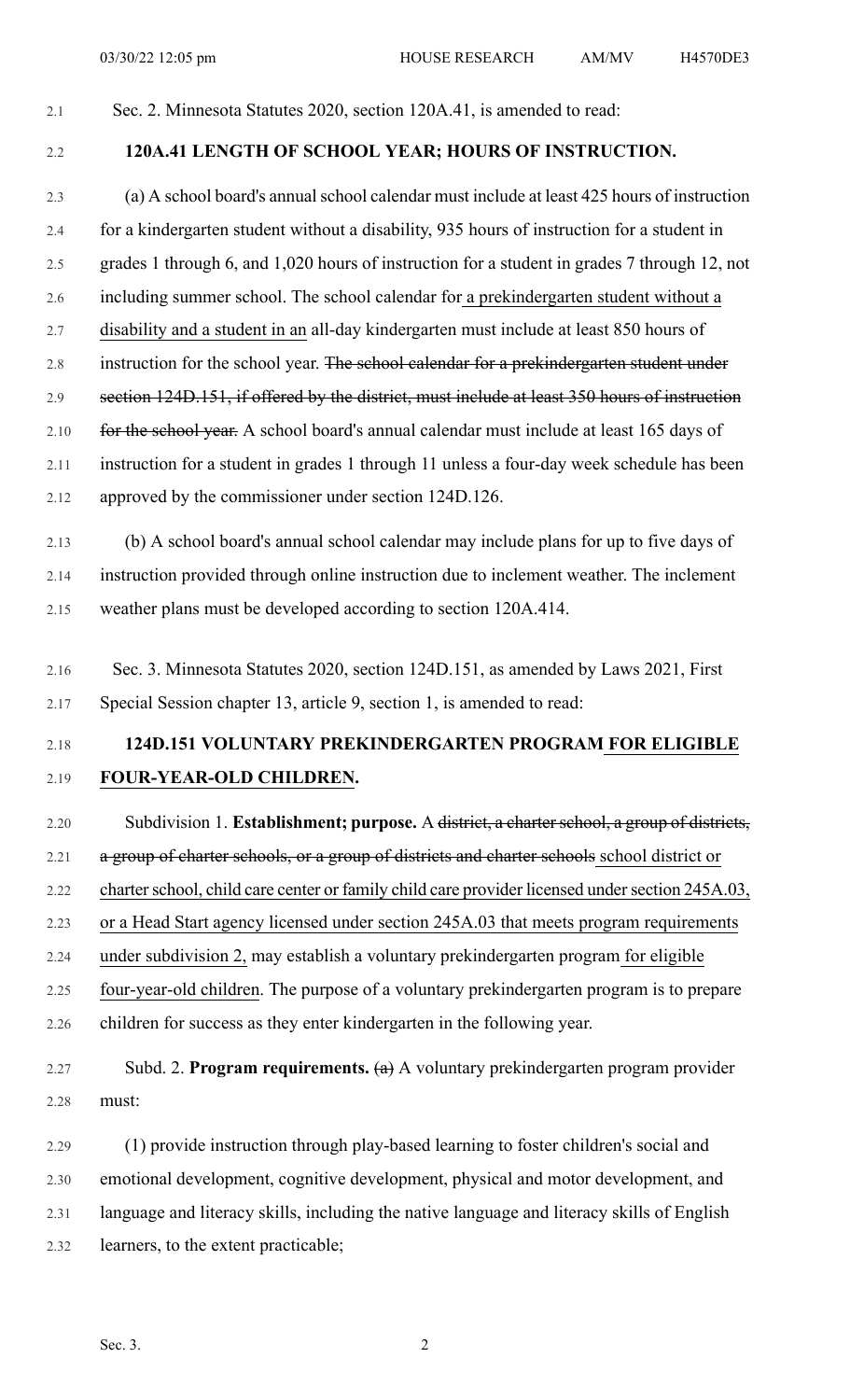#### 2.1 Sec. 2. Minnesota Statutes 2020, section 120A.41, is amended to read:

#### 2.2 **120A.41 LENGTH OF SCHOOL YEAR; HOURS OF INSTRUCTION.**

2.3 (a) A school board's annual school calendar must include at least 425 hours of instruction 2.4 for a kindergarten student without a disability, 935 hours of instruction for a student in 2.5 grades 1 through 6, and 1,020 hours of instruction for a student in grades 7 through 12, not 2.6 including summer school. The school calendar for a prekindergarten student without a 2.7 disability and a student in an all-day kindergarten must include at least 850 hours of 2.8 instruction for the school year. The school calendar for a prekindergarten student under 2.9 section 124D.151, if offered by the district, must include at least 350 hours of instruction 2.10 for the school year. A school board's annual calendar must include at least 165 days of 2.11 instruction for a student in grades 1 through 11 unless a four-day week schedule has been 2.12 approved by the commissioner under section 124D.126. 2.13 (b) A school board's annual school calendar may include plans for up to five days of 2.14 instruction provided through online instruction due to inclement weather. The inclement

2.15 weather plans must be developed according to section 120A.414.

2.16 Sec. 3. Minnesota Statutes 2020, section 124D.151, as amended by Laws 2021, First 2.17 Special Session chapter 13, article 9, section 1, is amended to read:

## 2.18 **124D.151 VOLUNTARY PREKINDERGARTEN PROGRAM FOR ELIGIBLE** 2.19 **FOUR-YEAR-OLD CHILDREN.**

2.20 Subdivision 1. **Establishment; purpose.** A <del>district, a charter school, a group of districts,</del> 2.21 a group of charter schools, or a group of districts and charter schools school district or 2.22 charter school, child care center or family child care provider licensed under section 245A.03, 2.23 or a Head Start agency licensed under section 245A.03 that meets program requirements 2.24 under subdivision 2, may establish a voluntary prekindergarten program for eligible 2.25 four-year-old children. The purpose of a voluntary prekindergarten program is to prepare 2.26 children for success as they enter kindergarten in the following year.

# 2.27 Subd. 2. **Program requirements.** (a) A voluntary prekindergarten program provider 2.28 must:

2.29 (1) provide instruction through play-based learning to foster children's social and 2.30 emotional development, cognitive development, physical and motor development, and 2.31 language and literacy skills, including the native language and literacy skills of English 2.32 learners, to the extent practicable;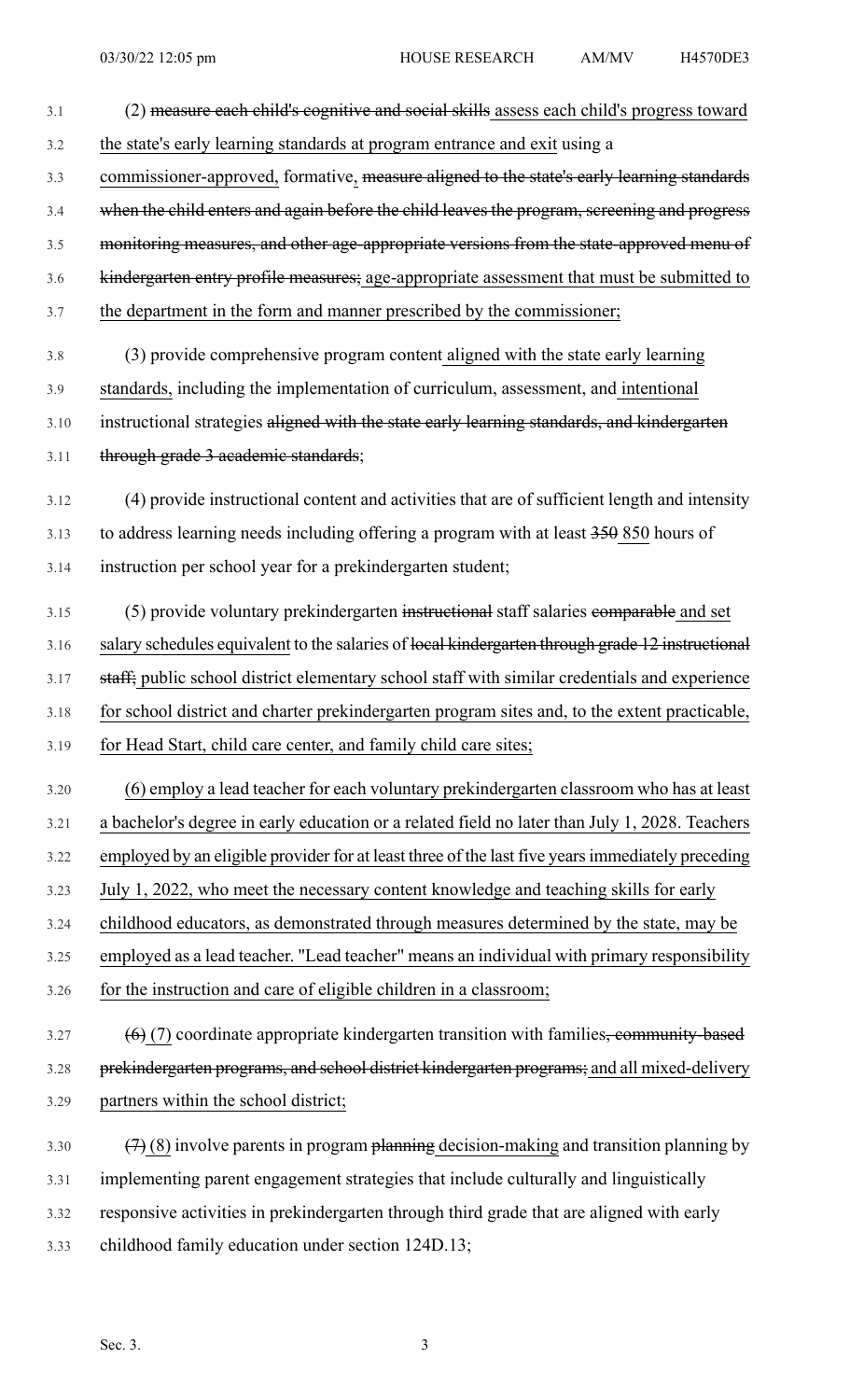- 3.1 (2) measure each child's cognitive and social skills assess each child's progress toward 3.2 the state's early learning standards at program entrance and exit using a 3.3 commissioner-approved, formative, measure aligned to the state's early learning standards 3.4 when the child enters and again before the child leaves the program, screening and progress 3.5 monitoring measures, and other age-appropriate versions from the state-approved menu of 3.6 kindergarten entry profile measures; age-appropriate assessment that must be submitted to 3.7 the department in the form and manner prescribed by the commissioner; 3.8 (3) provide comprehensive program content aligned with the state early learning 3.9 standards, including the implementation of curriculum, assessment, and intentional 3.10 instructional strategies aligned with the state early learning standards, and kindergarten 3.11 through grade 3 academic standards; 3.12 (4) provide instructional content and activities that are of sufficient length and intensity 3.13 to address learning needs including offering a program with at least 350 850 hours of 3.14 instruction per school year for a prekindergarten student; 3.15 (5) provide voluntary prekindergarten instructional staff salaries comparable and set 3.16 salary schedules equivalent to the salaries of local kindergarten through grade 12 instructional 3.17 staff; public school district elementary school staff with similar credentials and experience 3.18 for school district and charter prekindergarten program sites and, to the extent practicable, 3.19 for Head Start, child care center, and family child care sites; 3.20 (6) employ a lead teacher for each voluntary prekindergarten classroom who has at least 3.21 a bachelor's degree in early education or a related field no later than July 1, 2028. Teachers 3.22 employed by an eligible provider for at least three of the last five yearsimmediately preceding 3.23 July 1, 2022, who meet the necessary content knowledge and teaching skills for early 3.24 childhood educators, as demonstrated through measures determined by the state, may be 3.25 employed as a lead teacher. "Lead teacher" means an individual with primary responsibility 3.26 for the instruction and care of eligible children in a classroom;  $3.27$  (6) (7) coordinate appropriate kindergarten transition with families, community-based 3.28 prekindergarten programs, and school district kindergarten programs; and all mixed-delivery 3.29 partners within the school district; 3.30  $(7)(8)$  involve parents in program planning decision-making and transition planning by 3.31 implementing parent engagement strategies that include culturally and linguistically 3.32 responsive activities in prekindergarten through third grade that are aligned with early
- 3.33 childhood family education under section 124D.13;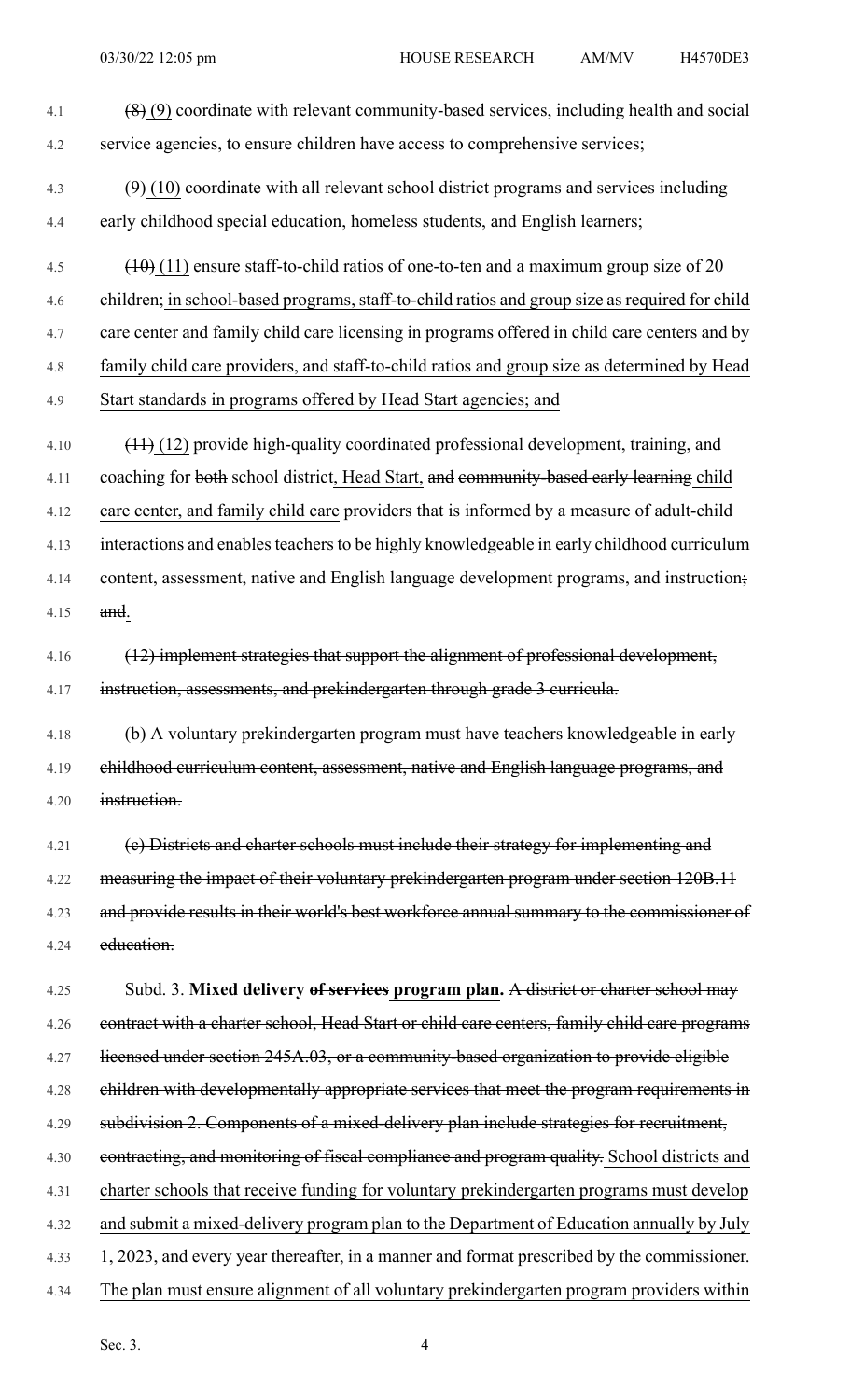4.1  $(8)(9)$  coordinate with relevant community-based services, including health and social 4.2 service agencies, to ensure children have access to comprehensive services; 4.3  $(9)(10)$  coordinate with all relevant school district programs and services including 4.4 early childhood special education, homeless students, and English learners; 4.5  $(10)(11)$  ensure staff-to-child ratios of one-to-ten and a maximum group size of 20 4.6 children; in school-based programs, staff-to-child ratios and group size as required for child 4.7 care center and family child care licensing in programs offered in child care centers and by 4.8 family child care providers, and staff-to-child ratios and group size as determined by Head 4.9 Start standards in programs offered by Head Start agencies; and 4.10 (11) (12) provide high-quality coordinated professional development, training, and 4.11 coaching for both school district, Head Start, and community-based early learning child 4.12 care center, and family child care providers that is informed by a measure of adult-child 4.13 interactions and enables teachers to be highly knowledgeable in early childhood curriculum 4.14 content, assessment, native and English language development programs, and instruction; 4.15 and. 4.16 (12) implement strategies that support the alignment of professional development, 4.17 instruction, assessments, and prekindergarten through grade 3 curricula. 4.18 (b) A voluntary prekindergarten program must have teachers knowledgeable in early 4.19 childhood curriculum content, assessment, native and English language programs, and 4.20 instruction. 4.21 (e) Districts and charter schools must include their strategy for implementing and 4.22 measuring the impact of their voluntary prekindergarten program under section 120B.11 4.23 and provide results in their world's best workforce annual summary to the commissioner of 4.24 education. 4.25 Subd. 3. **Mixed delivery of services program plan.** A district or charter school may 4.26 contract with a charter school, Head Start or child care centers, family child care programs 4.27 licensed under section 245A.03, or a community-based organization to provide eligible 4.28 children with developmentally appropriate services that meet the program requirements in 4.29 subdivision 2. Components of a mixed-delivery plan include strategies for recruitment, 4.30 contracting, and monitoring of fiscal compliance and program quality. School districts and 4.31 charter schools that receive funding for voluntary prekindergarten programs must develop 4.32 and submit a mixed-delivery program plan to the Department of Education annually by July 4.33 1, 2023, and every year thereafter, in a manner and format prescribed by the commissioner. 4.34 The plan must ensure alignment of all voluntary prekindergarten program providers within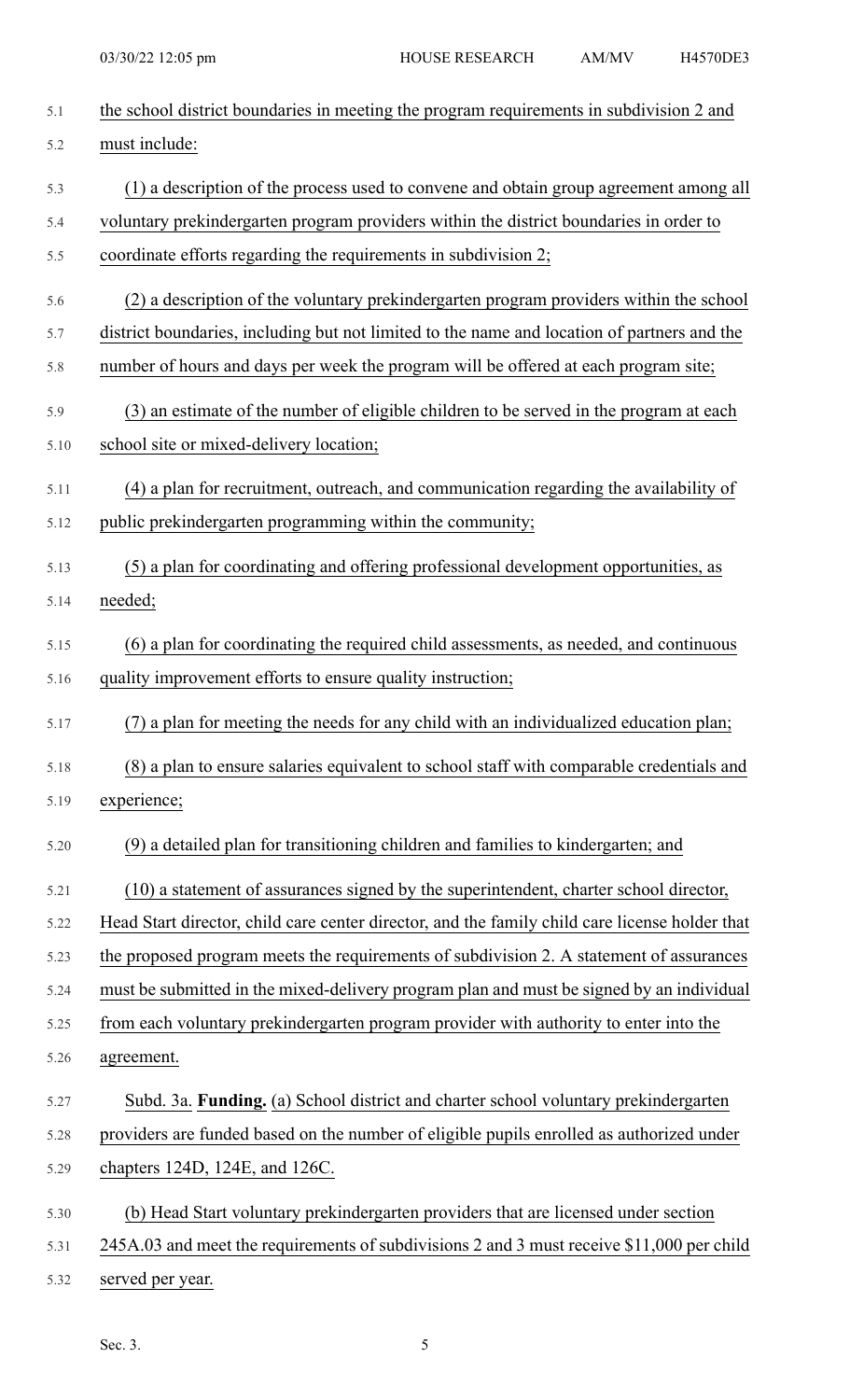| 5.1  | the school district boundaries in meeting the program requirements in subdivision 2 and        |
|------|------------------------------------------------------------------------------------------------|
| 5.2  | must include:                                                                                  |
| 5.3  | (1) a description of the process used to convene and obtain group agreement among all          |
| 5.4  | voluntary prekindergarten program providers within the district boundaries in order to         |
| 5.5  | coordinate efforts regarding the requirements in subdivision 2;                                |
| 5.6  | (2) a description of the voluntary prekindergarten program providers within the school         |
| 5.7  | district boundaries, including but not limited to the name and location of partners and the    |
| 5.8  | number of hours and days per week the program will be offered at each program site;            |
| 5.9  | (3) an estimate of the number of eligible children to be served in the program at each         |
| 5.10 | school site or mixed-delivery location;                                                        |
| 5.11 | (4) a plan for recruitment, outreach, and communication regarding the availability of          |
| 5.12 | public prekindergarten programming within the community;                                       |
| 5.13 | (5) a plan for coordinating and offering professional development opportunities, as            |
| 5.14 | needed;                                                                                        |
| 5.15 | (6) a plan for coordinating the required child assessments, as needed, and continuous          |
| 5.16 | quality improvement efforts to ensure quality instruction;                                     |
| 5.17 | (7) a plan for meeting the needs for any child with an individualized education plan;          |
| 5.18 | (8) a plan to ensure salaries equivalent to school staff with comparable credentials and       |
| 5.19 | experience;                                                                                    |
| 5.20 | (9) a detailed plan for transitioning children and families to kindergarten; and               |
| 5.21 | (10) a statement of assurances signed by the superintendent, charter school director,          |
| 5.22 | Head Start director, child care center director, and the family child care license holder that |
| 5.23 | the proposed program meets the requirements of subdivision 2. A statement of assurances        |
| 5.24 | must be submitted in the mixed-delivery program plan and must be signed by an individual       |
| 5.25 | from each voluntary prekindergarten program provider with authority to enter into the          |
| 5.26 | agreement.                                                                                     |
| 5.27 | Subd. 3a. Funding. (a) School district and charter school voluntary prekindergarten            |
| 5.28 | providers are funded based on the number of eligible pupils enrolled as authorized under       |
| 5.29 | chapters 124D, 124E, and 126C.                                                                 |
| 5.30 | (b) Head Start voluntary prekindergarten providers that are licensed under section             |
| 5.31 | 245A.03 and meet the requirements of subdivisions 2 and 3 must receive \$11,000 per child      |
| 5.32 | served per year.                                                                               |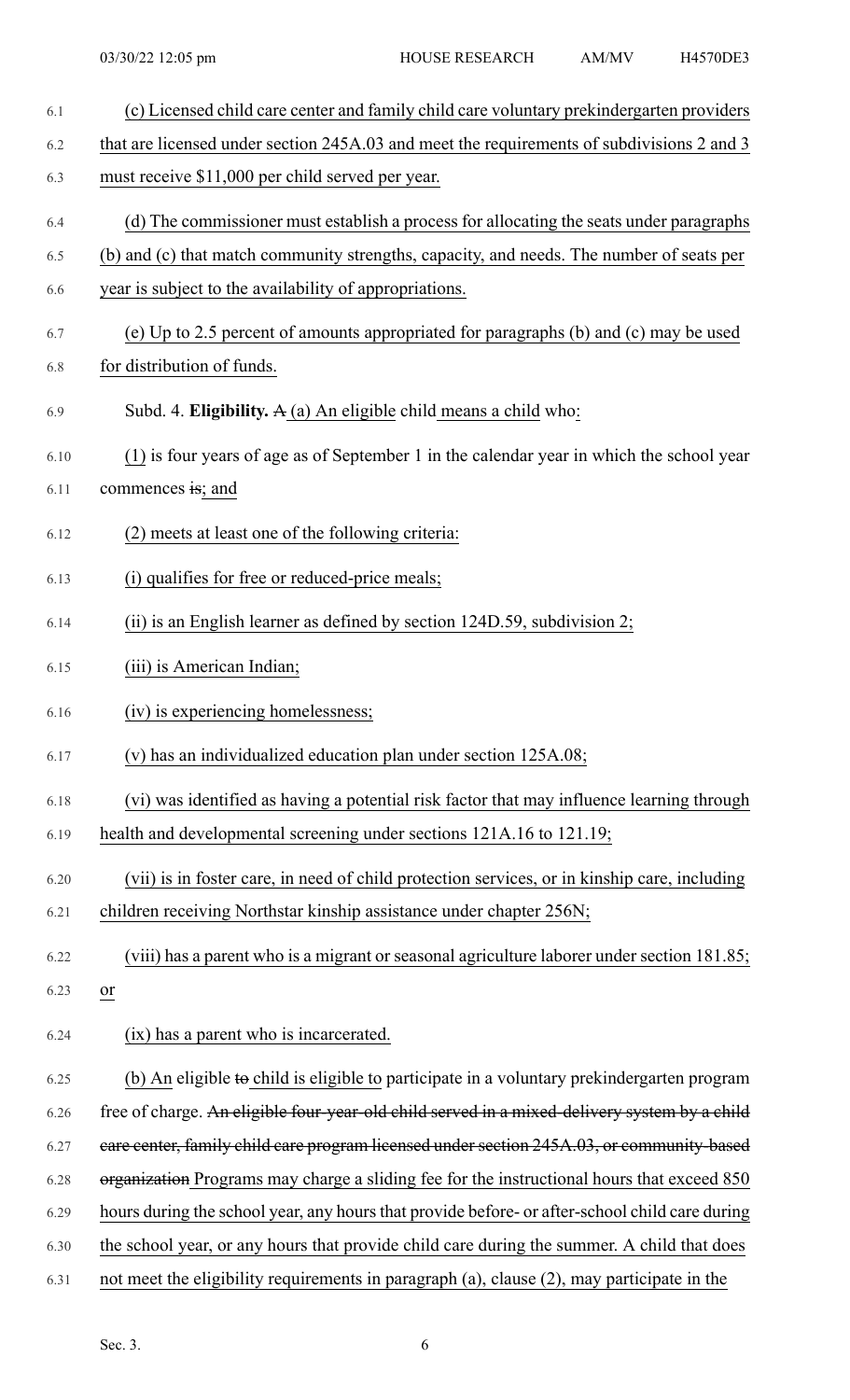| 6.1  | (c) Licensed child care center and family child care voluntary prekindergarten providers         |
|------|--------------------------------------------------------------------------------------------------|
| 6.2  | that are licensed under section 245A.03 and meet the requirements of subdivisions 2 and 3        |
| 6.3  | must receive \$11,000 per child served per year.                                                 |
| 6.4  | (d) The commissioner must establish a process for allocating the seats under paragraphs          |
| 6.5  | (b) and (c) that match community strengths, capacity, and needs. The number of seats per         |
| 6.6  | year is subject to the availability of appropriations.                                           |
| 6.7  | (e) Up to 2.5 percent of amounts appropriated for paragraphs (b) and (c) may be used             |
| 6.8  | for distribution of funds.                                                                       |
| 6.9  | Subd. 4. Eligibility. $A(a)$ An eligible child means a child who:                                |
| 6.10 | (1) is four years of age as of September 1 in the calendar year in which the school year         |
| 6.11 | commences is; and                                                                                |
| 6.12 | (2) meets at least one of the following criteria:                                                |
| 6.13 | (i) qualifies for free or reduced-price meals;                                                   |
| 6.14 | (ii) is an English learner as defined by section 124D.59, subdivision 2;                         |
| 6.15 | (iii) is American Indian;                                                                        |
| 6.16 | (iv) is experiencing homelessness;                                                               |
| 6.17 | (v) has an individualized education plan under section 125A.08;                                  |
| 6.18 | (vi) was identified as having a potential risk factor that may influence learning through        |
| 6.19 | health and developmental screening under sections 121A.16 to 121.19;                             |
| 6.20 | (vii) is in foster care, in need of child protection services, or in kinship care, including     |
| 6.21 | children receiving Northstar kinship assistance under chapter 256N;                              |
| 6.22 | (viii) has a parent who is a migrant or seasonal agriculture laborer under section 181.85;       |
| 6.23 | $\overline{or}$                                                                                  |
| 6.24 | (ix) has a parent who is incarcerated.                                                           |
| 6.25 | (b) An eligible to child is eligible to participate in a voluntary prekindergarten program       |
| 6.26 | free of charge. An eligible four-year-old child served in a mixed-delivery system by a child     |
| 6.27 | eare center, family child care program licensed under section 245A.03, or community-based        |
| 6.28 | organization Programs may charge a sliding fee for the instructional hours that exceed 850       |
| 6.29 | hours during the school year, any hours that provide before- or after-school child care during   |
| 6.30 | the school year, or any hours that provide child care during the summer. A child that does       |
| 6.31 | not meet the eligibility requirements in paragraph $(a)$ , clause $(2)$ , may participate in the |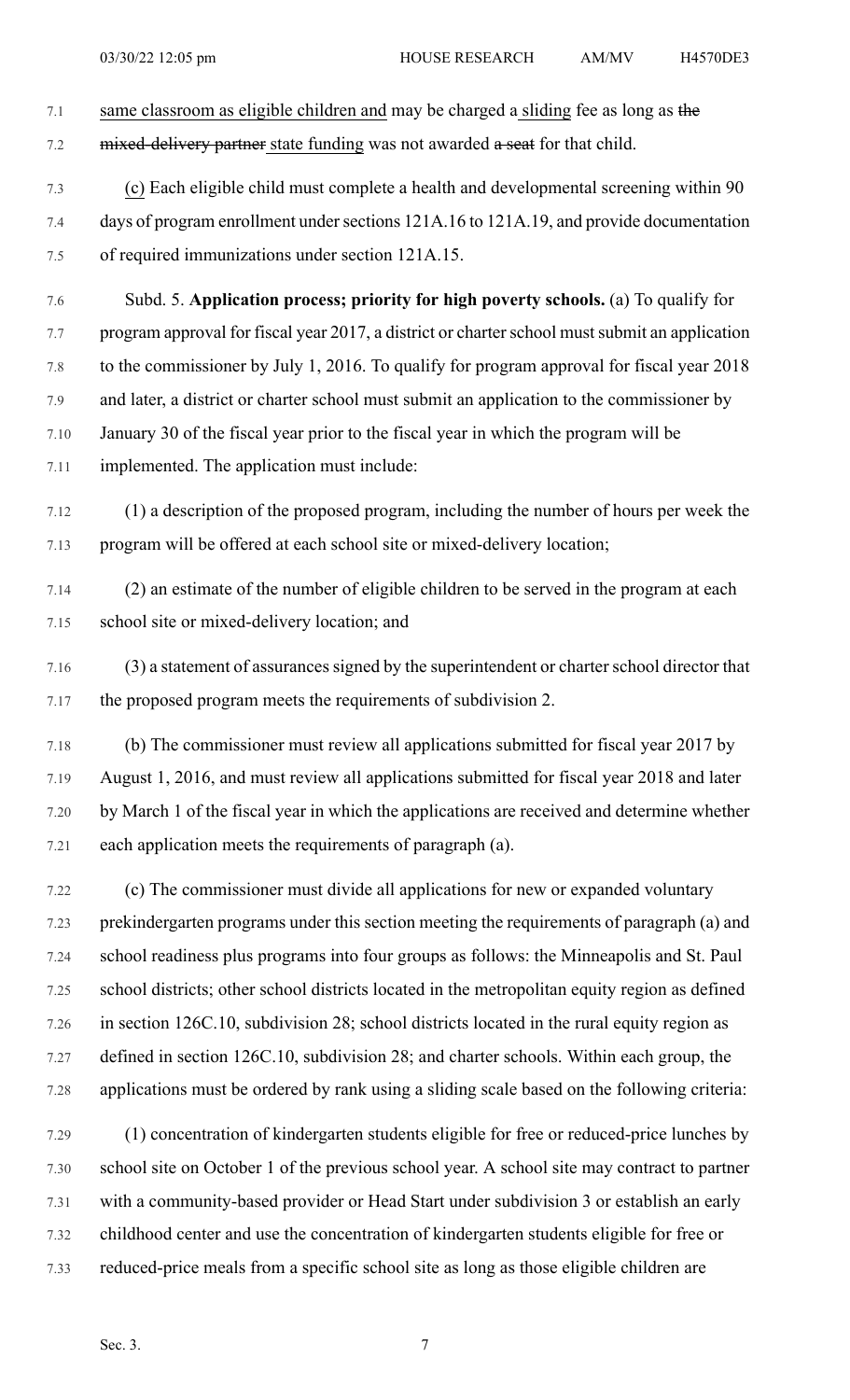- 7.1 same classroom as eligible children and may be charged a sliding fee as long as the 7.2 mixed-delivery partner state funding was not awarded a seat for that child.
- 7.3 (c) Each eligible child must complete a health and developmental screening within 90 7.4 days of program enrollment under sections 121A.16 to 121A.19, and provide documentation 7.5 of required immunizations under section 121A.15.
- 7.6 Subd. 5. **Application process; priority for high poverty schools.** (a) To qualify for 7.7 program approval for fiscal year 2017, a district or charter school must submit an application 7.8 to the commissioner by July 1, 2016. To qualify for program approval for fiscal year 2018 7.9 and later, a district or charter school must submit an application to the commissioner by 7.10 January 30 of the fiscal year prior to the fiscal year in which the program will be 7.11 implemented. The application must include:
- 7.12 (1) a description of the proposed program, including the number of hours per week the 7.13 program will be offered at each school site or mixed-delivery location;
- 7.14 (2) an estimate of the number of eligible children to be served in the program at each 7.15 school site or mixed-delivery location; and
- 7.16 (3) a statement of assurances signed by the superintendent or charter school director that 7.17 the proposed program meets the requirements of subdivision 2.
- 7.18 (b) The commissioner must review all applications submitted for fiscal year 2017 by 7.19 August 1, 2016, and must review all applications submitted for fiscal year 2018 and later 7.20 by March 1 of the fiscal year in which the applications are received and determine whether 7.21 each application meets the requirements of paragraph (a).
- 7.22 (c) The commissioner must divide all applications for new or expanded voluntary 7.23 prekindergarten programs under this section meeting the requirements of paragraph (a) and 7.24 school readiness plus programs into four groups as follows: the Minneapolis and St. Paul 7.25 school districts; other school districts located in the metropolitan equity region as defined 7.26 in section 126C.10, subdivision 28; school districts located in the rural equity region as 7.27 defined in section 126C.10, subdivision 28; and charter schools. Within each group, the 7.28 applications must be ordered by rank using a sliding scale based on the following criteria:
- 7.29 (1) concentration of kindergarten students eligible for free or reduced-price lunches by 7.30 school site on October 1 of the previous school year. A school site may contract to partner 7.31 with a community-based provider or Head Start under subdivision 3 or establish an early 7.32 childhood center and use the concentration of kindergarten students eligible for free or 7.33 reduced-price meals from a specific school site as long as those eligible children are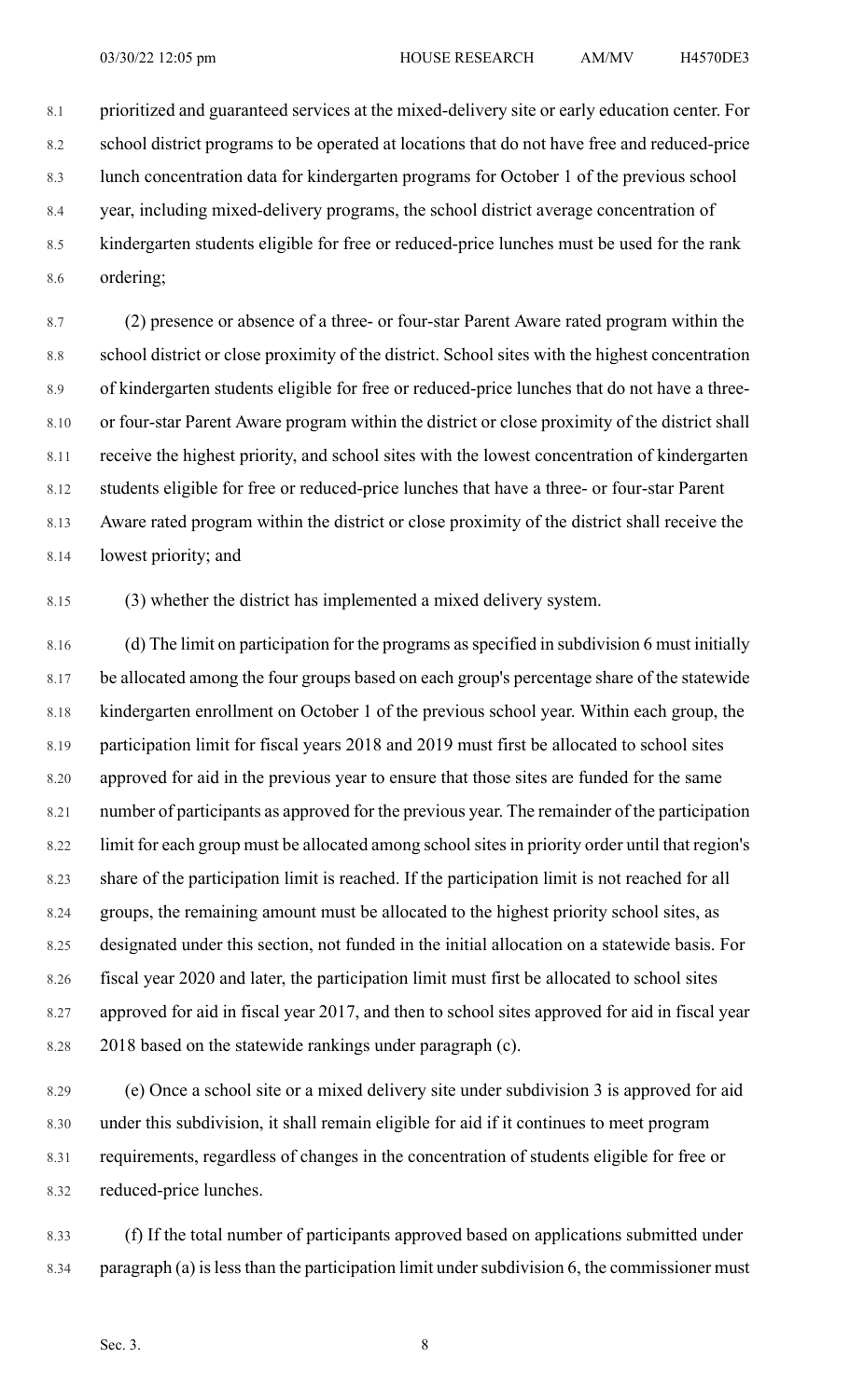8.1 prioritized and guaranteed services at the mixed-delivery site or early education center. For 8.2 school district programs to be operated at locations that do not have free and reduced-price 8.3 lunch concentration data for kindergarten programs for October 1 of the previous school 8.4 year, including mixed-delivery programs, the school district average concentration of 8.5 kindergarten students eligible for free or reduced-price lunches must be used for the rank 8.6 ordering;

8.7 (2) presence or absence of a three- or four-star Parent Aware rated program within the 8.8 school district or close proximity of the district. School sites with the highest concentration 8.9 of kindergarten students eligible for free or reduced-price lunches that do not have a three- 8.10 or four-star Parent Aware program within the district or close proximity of the district shall 8.11 receive the highest priority, and school sites with the lowest concentration of kindergarten 8.12 students eligible for free or reduced-price lunches that have a three- or four-star Parent 8.13 Aware rated program within the district or close proximity of the district shall receive the 8.14 lowest priority; and

8.15 (3) whether the district has implemented a mixed delivery system.

8.16 (d) The limit on participation for the programs as specified in subdivision 6 must initially 8.17 be allocated among the four groups based on each group's percentage share of the statewide 8.18 kindergarten enrollment on October 1 of the previous school year. Within each group, the 8.19 participation limit for fiscal years 2018 and 2019 must first be allocated to school sites 8.20 approved for aid in the previous year to ensure that those sites are funded for the same 8.21 number of participants as approved for the previous year. The remainder of the participation 8.22 limit for each group must be allocated among school sites in priority order until that region's 8.23 share of the participation limit is reached. If the participation limit is not reached for all 8.24 groups, the remaining amount must be allocated to the highest priority school sites, as 8.25 designated under this section, not funded in the initial allocation on a statewide basis. For 8.26 fiscal year 2020 and later, the participation limit must first be allocated to school sites 8.27 approved for aid in fiscal year 2017, and then to school sites approved for aid in fiscal year 8.28 2018 based on the statewide rankings under paragraph (c).

8.29 (e) Once a school site or a mixed delivery site under subdivision 3 is approved for aid 8.30 under this subdivision, it shall remain eligible for aid if it continues to meet program 8.31 requirements, regardless of changes in the concentration of students eligible for free or 8.32 reduced-price lunches.

8.33 (f) If the total number of participants approved based on applications submitted under 8.34 paragraph (a) is less than the participation limit under subdivision 6, the commissioner must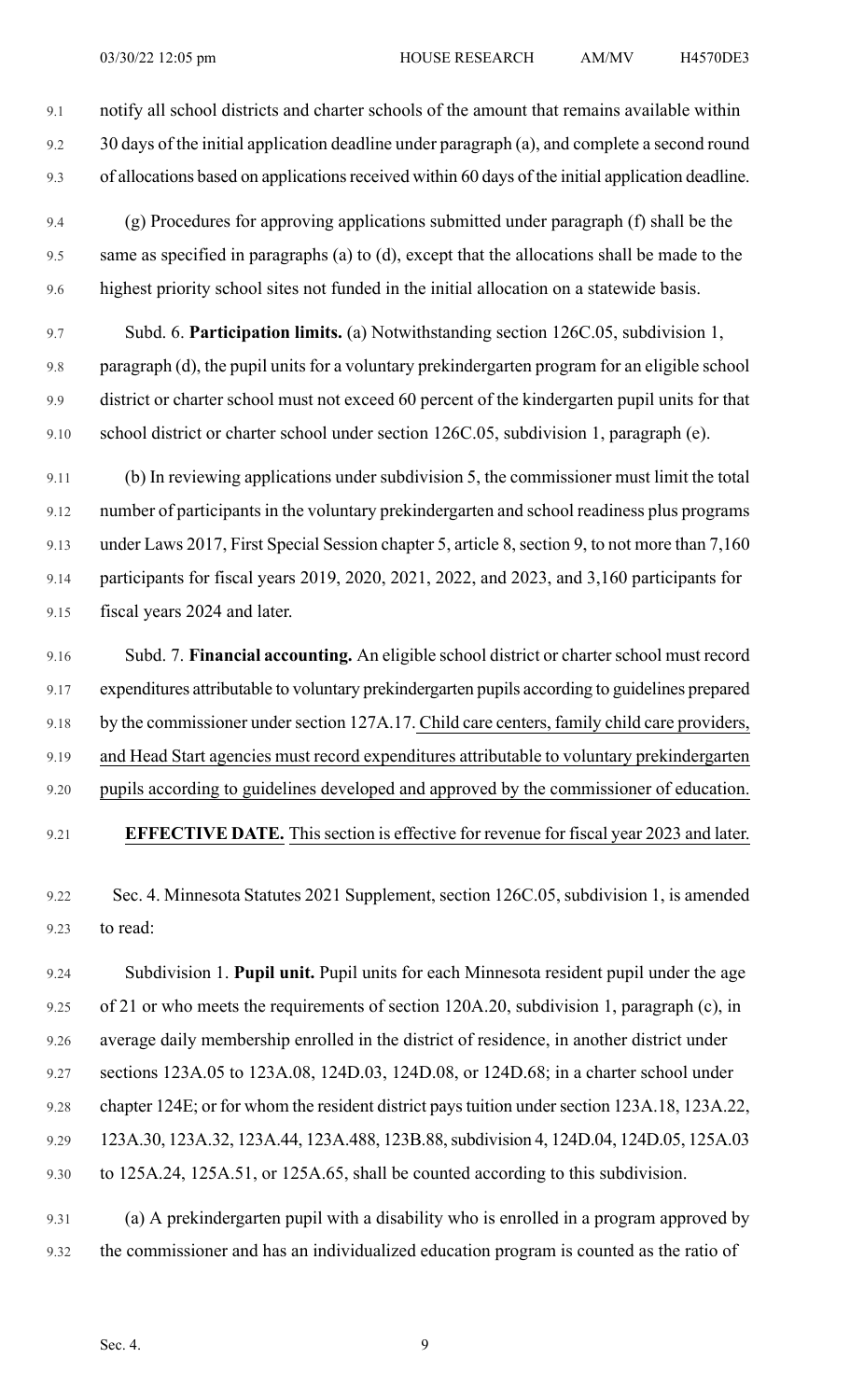9.1 notify all school districts and charter schools of the amount that remains available within 9.2 30 days of the initial application deadline under paragraph (a), and complete a second round 9.3 of allocations based on applications received within 60 days of the initial application deadline.

- 9.4 (g) Procedures for approving applications submitted under paragraph (f) shall be the 9.5 same as specified in paragraphs (a) to (d), except that the allocations shall be made to the 9.6 highest priority school sites not funded in the initial allocation on a statewide basis.
- 9.7 Subd. 6. **Participation limits.** (a) Notwithstanding section 126C.05, subdivision 1, 9.8 paragraph (d), the pupil units for a voluntary prekindergarten program for an eligible school 9.9 district or charter school must not exceed 60 percent of the kindergarten pupil units for that 9.10 school district or charter school under section 126C.05, subdivision 1, paragraph (e).

9.11 (b) In reviewing applications under subdivision 5, the commissioner must limit the total 9.12 number of participants in the voluntary prekindergarten and school readiness plus programs 9.13 under Laws 2017, First Special Session chapter 5, article 8, section 9, to not more than 7,160 9.14 participants for fiscal years 2019, 2020, 2021, 2022, and 2023, and 3,160 participants for 9.15 fiscal years 2024 and later.

9.16 Subd. 7. **Financial accounting.** An eligible school district or charter school must record 9.17 expenditures attributable to voluntary prekindergarten pupils according to guidelines prepared 9.18 by the commissioner under section 127A.17. Child care centers, family child care providers, 9.19 and Head Start agencies must record expenditures attributable to voluntary prekindergarten 9.20 pupils according to guidelines developed and approved by the commissioner of education. 9.21 **EFFECTIVE DATE.** Thissection is effective for revenue for fiscal year 2023 and later.

9.22 Sec. 4. Minnesota Statutes 2021 Supplement, section 126C.05, subdivision 1, is amended 9.23 to read:

9.24 Subdivision 1. **Pupil unit.** Pupil units for each Minnesota resident pupil under the age 9.25 of 21 or who meets the requirements of section 120A.20, subdivision 1, paragraph (c), in 9.26 average daily membership enrolled in the district of residence, in another district under 9.27 sections 123A.05 to 123A.08, 124D.03, 124D.08, or 124D.68; in a charter school under 9.28 chapter 124E; or for whom the resident district pays tuition under section 123A.18, 123A.22, 9.29 123A.30, 123A.32, 123A.44, 123A.488, 123B.88,subdivision 4, 124D.04, 124D.05, 125A.03 9.30 to 125A.24, 125A.51, or 125A.65, shall be counted according to this subdivision.

9.31 (a) A prekindergarten pupil with a disability who is enrolled in a program approved by 9.32 the commissioner and has an individualized education program is counted as the ratio of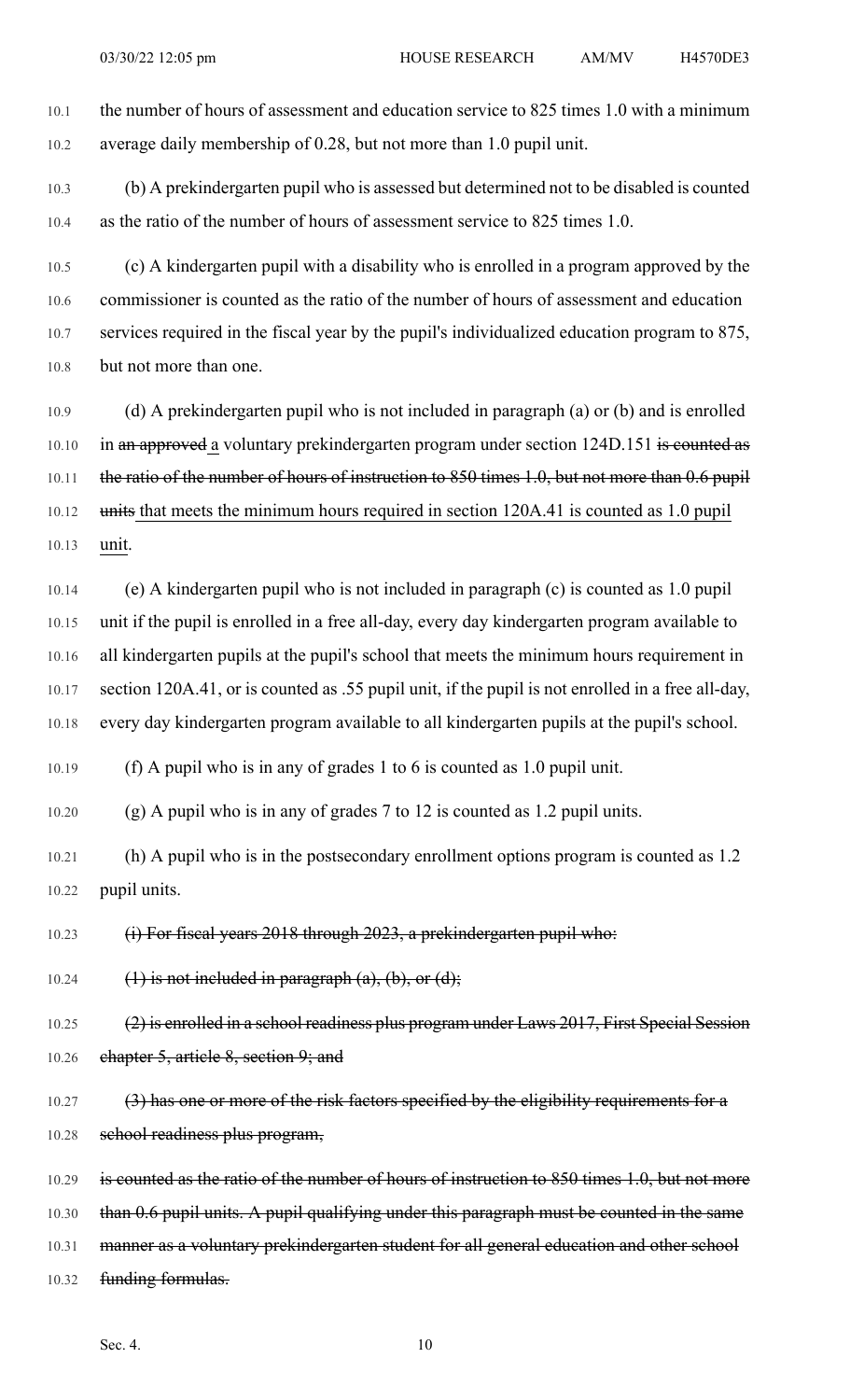10.1 the number of hours of assessment and education service to 825 times 1.0 with a minimum 10.2 average daily membership of 0.28, but not more than 1.0 pupil unit.

10.3 (b) A prekindergarten pupil who is assessed but determined not to be disabled is counted 10.4 as the ratio of the number of hours of assessment service to 825 times 1.0.

10.5 (c) A kindergarten pupil with a disability who is enrolled in a program approved by the 10.6 commissioner is counted as the ratio of the number of hours of assessment and education 10.7 services required in the fiscal year by the pupil's individualized education program to 875, 10.8 but not more than one.

10.9 (d) A prekindergarten pupil who is not included in paragraph (a) or (b) and is enrolled 10.10 in an approved a voluntary prekindergarten program under section 124D.151 is counted as 10.11 the ratio of the number of hours of instruction to 850 times 1.0, but not more than 0.6 pupil 10.12 units that meets the minimum hours required in section 120A.41 is counted as 1.0 pupil 10.13 unit.

10.14 (e) A kindergarten pupil who is not included in paragraph (c) is counted as 1.0 pupil 10.15 unit if the pupil is enrolled in a free all-day, every day kindergarten program available to 10.16 all kindergarten pupils at the pupil's school that meets the minimum hours requirement in 10.17 section 120A.41, or is counted as .55 pupil unit, if the pupil is not enrolled in a free all-day, 10.18 every day kindergarten program available to all kindergarten pupils at the pupil's school.

10.19 (f) A pupil who is in any of grades 1 to 6 is counted as 1.0 pupil unit.

10.20 (g) A pupil who is in any of grades 7 to 12 is counted as 1.2 pupil units.

10.21 (h) A pupil who is in the postsecondary enrollment options program is counted as 1.2 10.22 pupil units.

10.23 (i) For fiscal years 2018 through 2023, a prekindergarten pupil who:

10.24  $(1)$  is not included in paragraph  $(a)$ ,  $(b)$ , or  $(d)$ ;

10.25 (2) is enrolled in a school readiness plus program under Laws 2017, First Special Session 10.26 chapter 5, article 8, section 9; and

10.27 (3) has one or more of the risk factors specified by the eligibility requirements for a 10.28 school readiness plus program,

10.29 is counted as the ratio of the number of hours of instruction to 850 times 1.0, but not more

10.30 than 0.6 pupil units. A pupil qualifying under this paragraph must be counted in the same

- 10.31 manner as a voluntary prekindergarten student for all general education and other school
- 10.32 funding formulas.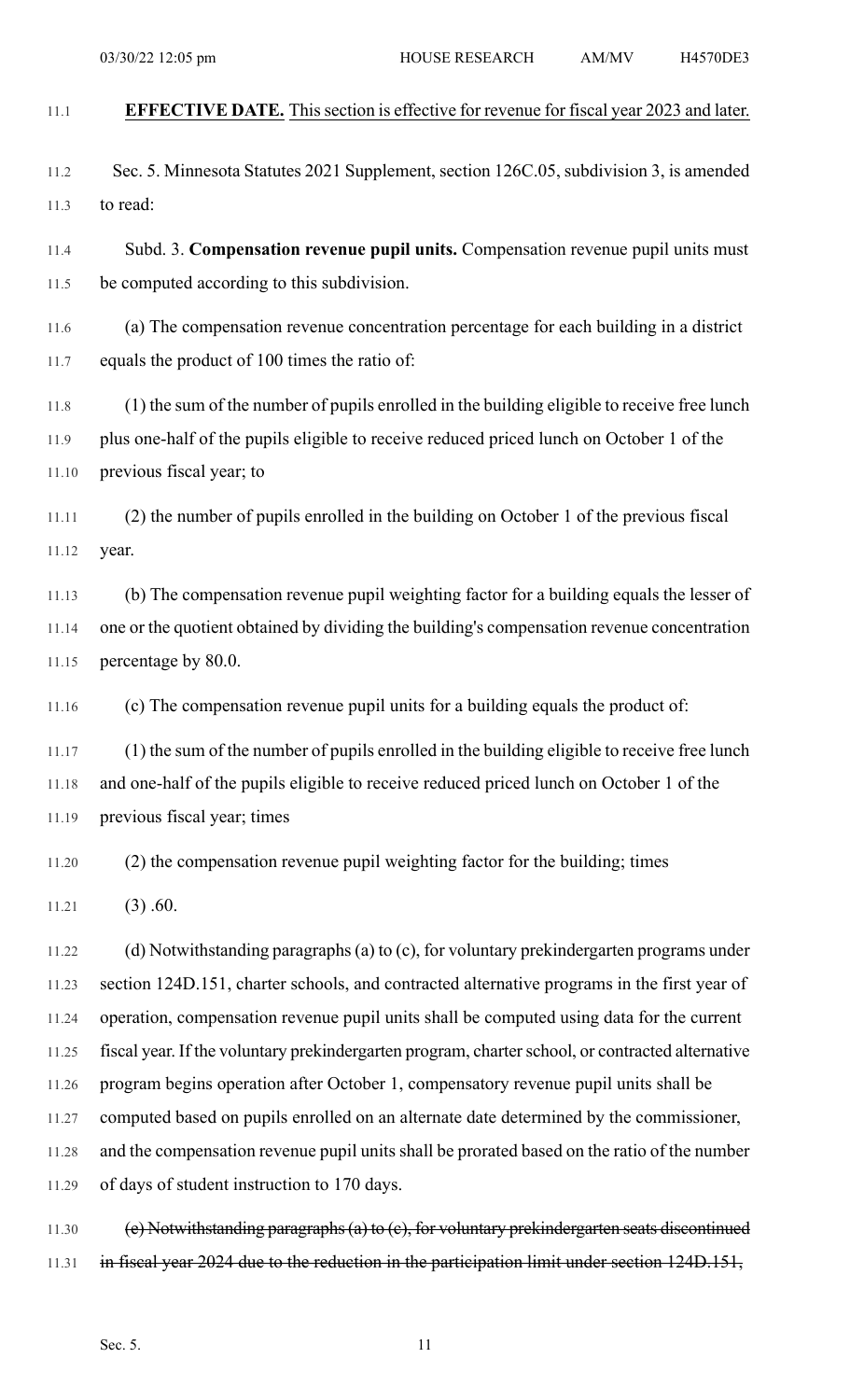| 11.1  | EFFECTIVE DATE. This section is effective for revenue for fiscal year 2023 and later.            |
|-------|--------------------------------------------------------------------------------------------------|
|       |                                                                                                  |
| 11.2  | Sec. 5. Minnesota Statutes 2021 Supplement, section 126C.05, subdivision 3, is amended           |
| 11.3  | to read:                                                                                         |
| 11.4  | Subd. 3. Compensation revenue pupil units. Compensation revenue pupil units must                 |
| 11.5  | be computed according to this subdivision.                                                       |
| 11.6  | (a) The compensation revenue concentration percentage for each building in a district            |
| 11.7  | equals the product of 100 times the ratio of:                                                    |
| 11.8  | (1) the sum of the number of pupils enrolled in the building eligible to receive free lunch      |
| 11.9  | plus one-half of the pupils eligible to receive reduced priced lunch on October 1 of the         |
| 11.10 | previous fiscal year; to                                                                         |
| 11.11 | (2) the number of pupils enrolled in the building on October 1 of the previous fiscal            |
| 11.12 | year.                                                                                            |
| 11.13 | (b) The compensation revenue pupil weighting factor for a building equals the lesser of          |
| 11.14 | one or the quotient obtained by dividing the building's compensation revenue concentration       |
| 11.15 | percentage by 80.0.                                                                              |
| 11.16 | (c) The compensation revenue pupil units for a building equals the product of:                   |
| 11.17 | (1) the sum of the number of pupils enrolled in the building eligible to receive free lunch      |
| 11.18 | and one-half of the pupils eligible to receive reduced priced lunch on October 1 of the          |
| 11.19 | previous fiscal year; times                                                                      |
| 11.20 | (2) the compensation revenue pupil weighting factor for the building; times                      |
| 11.21 | $(3)$ .60.                                                                                       |
| 11.22 | (d) Notwithstanding paragraphs (a) to (c), for voluntary prekindergarten programs under          |
| 11.23 | section 124D.151, charter schools, and contracted alternative programs in the first year of      |
| 11.24 | operation, compensation revenue pupil units shall be computed using data for the current         |
| 11.25 | fiscal year. If the voluntary prekindergarten program, charter school, or contracted alternative |
| 11.26 | program begins operation after October 1, compensatory revenue pupil units shall be              |

11.27 computed based on pupils enrolled on an alternate date determined by the commissioner,

11.28 and the compensation revenue pupil units shall be prorated based on the ratio of the number 11.29 of days of student instruction to 170 days.

11.30 (e) Notwithstanding paragraphs(a) to (c), for voluntary prekindergarten seats discontinued 11.31 in fiscal year 2024 due to the reduction in the participation limit under section 124D.151,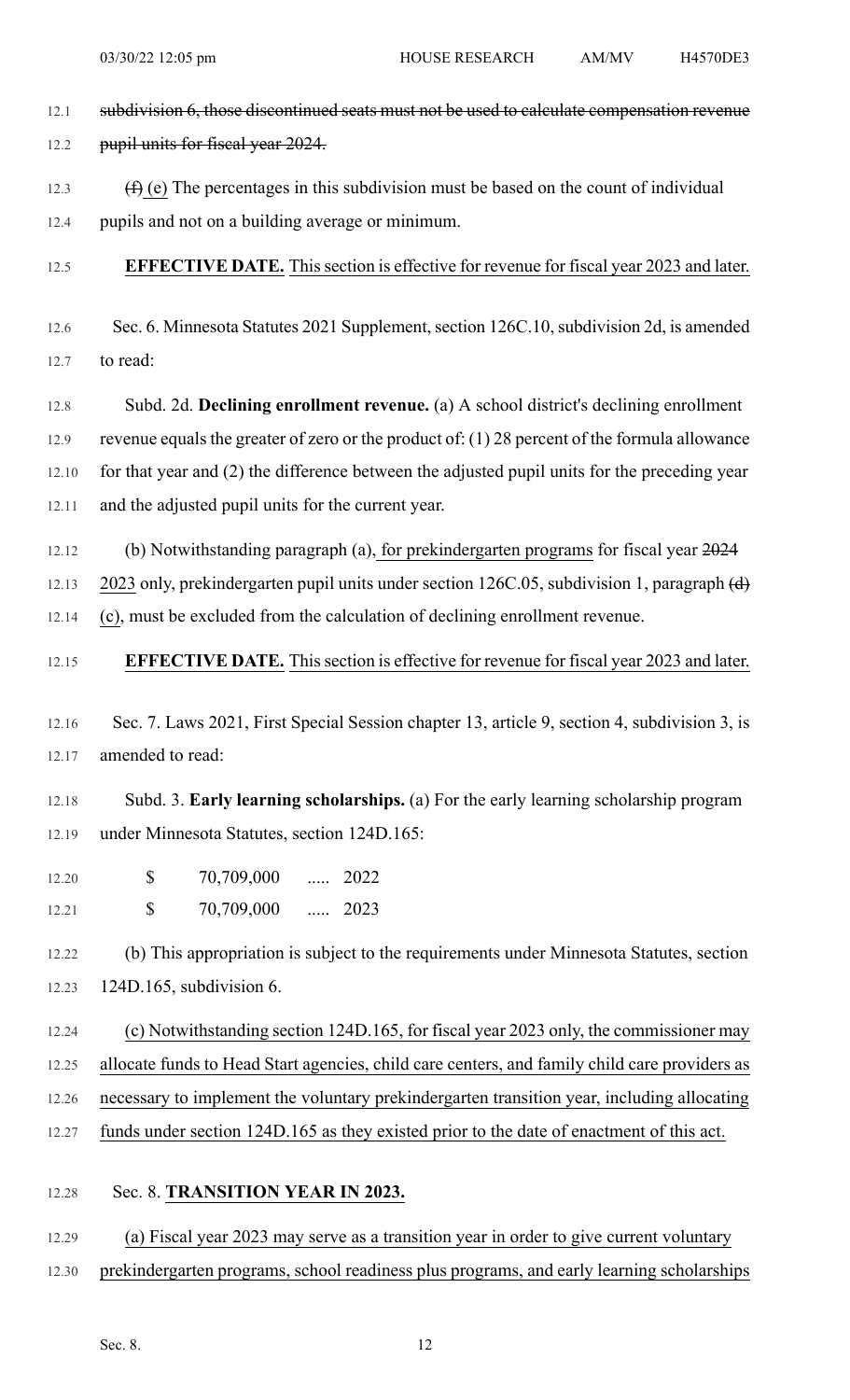- 12.1 subdivision 6, those discontinued seats must not be used to calculate compensation revenue 12.2 pupil units for fiscal year 2024.
- 12.3  $(f)$  (e) The percentages in this subdivision must be based on the count of individual
- 12.4 pupils and not on a building average or minimum.
- 12.5 **EFFECTIVE DATE.** Thissection is effective for revenue for fiscal year 2023 and later.
- 12.6 Sec. 6. Minnesota Statutes 2021 Supplement, section 126C.10, subdivision 2d, is amended 12.7 to read:
- 12.8 Subd. 2d. **Declining enrollment revenue.** (a) A school district's declining enrollment 12.9 revenue equals the greater of zero or the product of: (1) 28 percent of the formula allowance 12.10 for that year and (2) the difference between the adjusted pupil units for the preceding year 12.11 and the adjusted pupil units for the current year.
- 12.12 (b) Notwithstanding paragraph (a), for prekindergarten programs for fiscal year 2024

12.13 2023 only, prekindergarten pupil units under section 126C.05, subdivision 1, paragraph (d)

12.14 (c), must be excluded from the calculation of declining enrollment revenue.

- 12.15 **EFFECTIVE DATE.** Thissection is effective for revenue for fiscal year 2023 and later.
- 12.16 Sec. 7. Laws 2021, First Special Session chapter 13, article 9, section 4, subdivision 3, is 12.17 amended to read:

12.18 Subd. 3. **Early learning scholarships.** (a) For the early learning scholarship program 12.19 under Minnesota Statutes, section 124D.165:

12.20 \$ 70,709,000 ..... 2022 12.21 **\$** 70,709,000 ..... 2023

12.22 (b) This appropriation is subject to the requirements under Minnesota Statutes, section 12.23 124D.165, subdivision 6.

12.24 (c) Notwithstanding section 124D.165, for fiscal year 2023 only, the commissioner may 12.25 allocate funds to Head Start agencies, child care centers, and family child care providers as 12.26 necessary to implement the voluntary prekindergarten transition year, including allocating 12.27 funds under section 124D.165 as they existed prior to the date of enactment of this act.

### 12.28 Sec. 8. **TRANSITION YEAR IN 2023.**

- 12.29 (a) Fiscal year 2023 may serve as a transition year in order to give current voluntary
- 12.30 prekindergarten programs, school readiness plus programs, and early learning scholarships